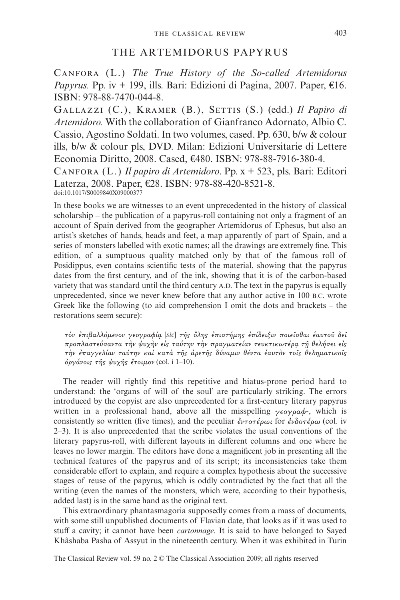## THE ARTEMIDORUS PAPYRUS

Canfora (L.) *The True History of the So-called Artemidorus Papyrus.* Pp. iv + 199, ills. Bari: Edizioni di Pagina, 2007. Paper,  $\epsilon$ 16. ISBN: 978-88-7470-044-8.

Gallazzi (C.), Kramer (B.), Settis (S.) (edd.) *Il Papiro di Artemidoro.* With the collaboration of Gianfranco Adornato, Albio C. Cassio, Agostino Soldati. In two volumes, cased. Pp. 630, b/w & colour ills, b/w & colour pls, DVD. Milan: Edizioni Universitarie di Lettere Economia Diritto, 2008. Cased, €480. ISBN: 978-88-7916-380-4.

Canfora (L.) *Il papiro di Artemidoro*. Pp. x + 523, pls. Bari: Editori Laterza, 2008. Paper, €28. ISBN: 978-88-420-8521-8. doi:10.1017/S0009840X09000377

In these books we are witnesses to an event unprecedented in the history of classical scholarship – the publication of a papyrus-roll containing not only a fragment of an account of Spain derived from the geographer Artemidorus of Ephesus, but also an artist's sketches of hands, heads and feet, a map apparently of part of Spain, and a series of monsters labelled with exotic names; all the drawings are extremely fine. This edition, of a sumptuous quality matched only by that of the famous roll of Posidippus, even contains scientific tests of the material, showing that the papyrus dates from the first century, and of the ink, showing that it is of the carbon-based variety that was standard until the third century A.D. The text in the papyrus is equally unprecedented, since we never knew before that any author active in 100 B.C. wrote Greek like the following (to aid comprehension I omit the dots and brackets – the restorations seem secure):

τὸν ἐπιβαλλόμενον γεογραφία [sic] τῆς ὅλης ἐπιστήμης ἐπίδειξιν ποιεῖσθαι ἑαυτοῦ δεῖ<br>προπλαστεύσαντα τὴν ψυχὴν εἰς ταύτην τὴν πραγματείαν τευκτικωτέρα τῆ θελήσει εἰς την έπαγγελίαν ταύτην και κατά της αρετής δύναμιν θέντα έαυτον τοις θεληματικοίς  $\delta\rho\gamma$ άνοις της ψυχης έτοιμον (col. i 1–10).

The reader will rightly find this repetitive and hiatus-prone period hard to understand: the 'organs of will of the soul' are particularly striking. The errors introduced by the copyist are also unprecedented for a first-century literary papyrus written in a professional hand, above all the misspelling  $\gamma \epsilon o \gamma \rho a \phi$ , which is consistently so written (five times), and the peculiar  $\epsilon \nu \tau \sigma \tau \epsilon \rho \omega$  for  $\epsilon \nu \delta \sigma \tau \epsilon \rho \omega$  (col. iv 2–3). It is also unprecedented that the scribe violates the usual conventions of the literary papyrus-roll, with different layouts in different columns and one where he leaves no lower margin. The editors have done a magnificent job in presenting all the technical features of the papyrus and of its script; its inconsistencies take them considerable effort to explain, and require a complex hypothesis about the successive stages of reuse of the papyrus, which is oddly contradicted by the fact that all the writing (even the names of the monsters, which were, according to their hypothesis, added last) is in the same hand as the original text.

This extraordinary phantasmagoria supposedly comes from a mass of documents, with some still unpublished documents of Flavian date, that looks as if it was used to stu¶ a cavity; it cannot have been *cartonnage*. It is said to have belonged to Sayed Khâshaba Pasha of Assyut in the nineteenth century. When it was exhibited in Turin

The Classical Review vol. 59 no. 2 © The Classical Association 2009; all rights reserved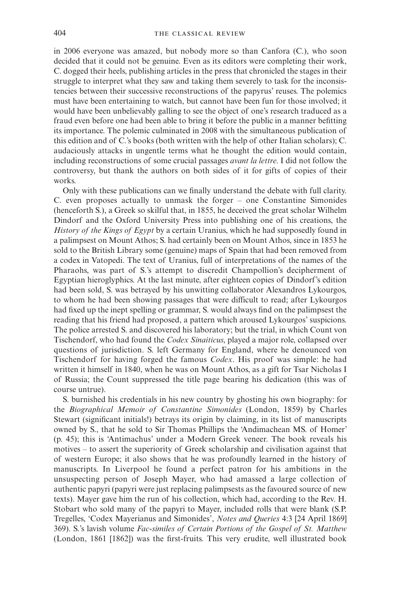in 2006 everyone was amazed, but nobody more so than Canfora (C.), who soon decided that it could not be genuine. Even as its editors were completing their work, C. dogged their heels, publishing articles in the press that chronicled the stages in their struggle to interpret what they saw and taking them severely to task for the inconsistencies between their successive reconstructions of the papyrus' reuses. The polemics must have been entertaining to watch, but cannot have been fun for those involved; it would have been unbelievably galling to see the object of one's research traduced as a fraud even before one had been able to bring it before the public in a manner befitting its importance. The polemic culminated in 2008 with the simultaneous publication of this edition and of C.'s books (both written with the help of other Italian scholars); C. audaciously attacks in ungentle terms what he thought the edition would contain, including reconstructions of some crucial passages *avant la lettre*. I did not follow the controversy, but thank the authors on both sides of it for gifts of copies of their works.

Only with these publications can we finally understand the debate with full clarity. C. even proposes actually to unmask the forger – one Constantine Simonides (henceforth S.), a Greek so skilful that, in 1855, he deceived the great scholar Wilhelm Dindorf and the Oxford University Press into publishing one of his creations, the *History of the Kings of Egypt* by a certain Uranius, which he had supposedly found in a palimpsest on Mount Athos; S. had certainly been on Mount Athos, since in 1853 he sold to the British Library some (genuine) maps of Spain that had been removed from a codex in Vatopedi. The text of Uranius, full of interpretations of the names of the Pharaohs, was part of S.'s attempt to discredit Champollion's decipherment of Egyptian hieroglyphics. At the last minute, after eighteen copies of Dindorf's edition had been sold, S. was betrayed by his unwitting collaborator Alexandros Lykourgos, to whom he had been showing passages that were difficult to read; after Lykourgos had fixed up the inept spelling or grammar, S. would always find on the palimpsest the reading that his friend had proposed, a pattern which aroused Lykourgos' suspicions. The police arrested S. and discovered his laboratory; but the trial, in which Count von Tischendorf, who had found the *Codex Sinaiticus*, played a major role, collapsed over questions of jurisdiction. S. left Germany for England, where he denounced von Tischendorf for having forged the famous *Codex*. His proof was simple: he had written it himself in 1840, when he was on Mount Athos, as a gift for Tsar Nicholas I of Russia; the Count suppressed the title page bearing his dedication (this was of course untrue).

S. burnished his credentials in his new country by ghosting his own biography: for the *Biographical Memoir of Constantine Simonides* (London, 1859) by Charles Stewart (significant initials!) betrays its origin by claiming, in its list of manuscripts owned by S., that he sold to Sir Thomas Phillips the 'Andimachean MS. of Homer' (p. 45); this is 'Antimachus' under a Modern Greek veneer. The book reveals his motives – to assert the superiority of Greek scholarship and civilisation against that of western Europe; it also shows that he was profoundly learned in the history of manuscripts. In Liverpool he found a perfect patron for his ambitions in the unsuspecting person of Joseph Mayer, who had amassed a large collection of authentic papyri (papyri were just replacing palimpsests as the favoured source of new texts). Mayer gave him the run of his collection, which had, according to the Rev. H. Stobart who sold many of the papyri to Mayer, included rolls that were blank (S.P. Tregelles, 'Codex Mayerianus and Simonides', *Notes and Queries* 4:3 [24 April 1869] 369). S.'s lavish volume *Fac-similes of Certain Portions of the Gospel of St. Matthew* (London, 1861 [1862]) was the first-fruits. This very erudite, well illustrated book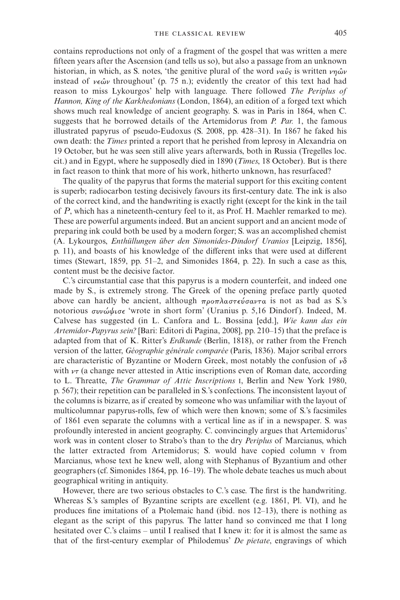contains reproductions not only of a fragment of the gospel that was written a mere fifteen years after the Ascension (and tells us so), but also a passage from an unknown historian, in which, as S. notes, 'the genitive plural of the word  $\nu \hat{\alpha} \hat{\nu}$  is written  $\nu \eta \hat{\omega} \nu$ instead of  $\nu \epsilon \hat{\omega} \nu$  throughout' (p. 75 n.); evidently the creator of this text had had reason to miss Lykourgos' help with language. There followed *The Periplus of Hannon, King of the Karkhedonians* (London, 1864), an edition of a forged text which shows much real knowledge of ancient geography. S. was in Paris in 1864, when C. suggests that he borrowed details of the Artemidorus from *P. Par.* 1, the famous illustrated papyrus of pseudo-Eudoxus (S. 2008, pp. 428–31). In 1867 he faked his own death: the *Times* printed a report that he perished from leprosy in Alexandria on 19 October, but he was seen still alive years afterwards, both in Russia (Tregelles loc. cit.) and in Egypt, where he supposedly died in 1890 (*Times*, 18 October). But is there in fact reason to think that more of his work, hitherto unknown, has resurfaced?

The quality of the papyrus that forms the material support for this exciting content is superb; radiocarbon testing decisively favours its first-century date. The ink is also of the correct kind, and the handwriting is exactly right (except for the kink in the tail of  $P$ , which has a nineteenth-century feel to it, as Prof. H. Maehler remarked to me). These are powerful arguments indeed. But an ancient support and an ancient mode of preparing ink could both be used by a modern forger; S. was an accomplished chemist (A. Lykourgos, *Enthüllungen über den Simonides-Dindorf Uranios* [Leipzig, 1856], p. 11), and boasts of his knowledge of the different inks that were used at different times (Stewart, 1859, pp. 51–2, and Simonides 1864, p. 22). In such a case as this, content must be the decisive factor.

C.'s circumstantial case that this papyrus is a modern counterfeit, and indeed one made by S., is extremely strong. The Greek of the opening preface partly quoted above can hardly be ancient, although  $\pi \rho \sigma \pi \lambda \alpha \sigma \tau \epsilon \nu \sigma \alpha \nu \tau \alpha$  is not as bad as S.'s notorious  $\sigma v\nu\omega\psi\iota\sigma\epsilon$  'wrote in short form' (Uranius p. 5,16 Dindorf). Indeed, M. Calvese has suggested (in L. Canfora and L. Bossina [edd.], *Wie kann das ein Artemidor-Papyrus sein?* [Bari: Editori di Pagina, 2008], pp. 210–15) that the preface is adapted from that of K. Ritter's *Erdkunde* (Berlin, 1818), or rather from the French version of the latter, *Géographie générale comparée* (Paris, 1836). Major scribal errors are characteristic of Byzantine or Modern Greek, most notably the confusion of  $v\delta$ with  $\nu\tau$  (a change never attested in Attic inscriptions even of Roman date, according to L. Threatte, *The Grammar of Attic Inscriptions* I, Berlin and New York 1980, p. 567); their repetition can be paralleled in S.'s confections. The inconsistent layout of the columns is bizarre, as if created by someone who was unfamiliar with the layout of multicolumnar papyrus-rolls, few of which were then known; some of S.'s facsimiles of 1861 even separate the columns with a vertical line as if in a newspaper. S. was profoundly interested in ancient geography. C. convincingly argues that Artemidorus' work was in content closer to Strabo's than to the dry *Periplus* of Marcianus, which the latter extracted from Artemidorus; S. would have copied column v from Marcianus, whose text he knew well, along with Stephanus of Byzantium and other geographers (cf. Simonides 1864, pp. 16–19). The whole debate teaches us much about geographical writing in antiquity.

However, there are two serious obstacles to C.'s case. The first is the handwriting. Whereas S.'s samples of Byzantine scripts are excellent (e.g. 1861, Pl. VI), and he produces fine imitations of a Ptolemaic hand (ibid. nos  $12-13$ ), there is nothing as elegant as the script of this papyrus. The latter hand so convinced me that I long hesitated over C.'s claims – until I realised that I knew it: for it is almost the same as that of the first-century exemplar of Philodemus' *De pietate*, engravings of which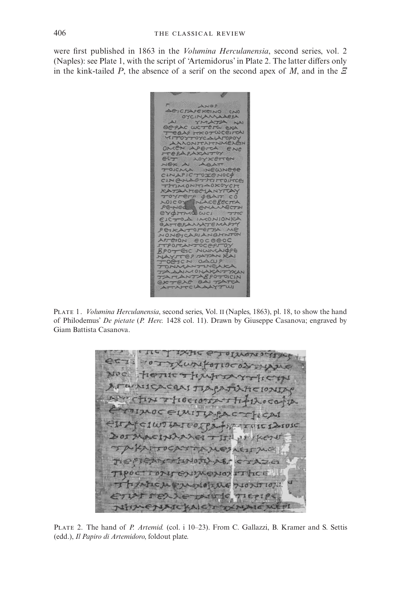were first published in 1863 in the *Volumina Herculanensia*, second series, vol. 2 (Naples): see Plate 1, with the script of 'Artemidorus' in Plate 2. The latter differs only in the kink-tailed P, the absence of a serif on the second apex of M, and in the  $\Xi$ 

NBP CAPEKENO CN XMATA NA  $\overline{\omega}$  $-er$ ek **HEROTWOEITA** P FROTWOEITA AKAITOY LOYKETTEN  $ABA$ INEWNEBE ö INAPIC **DIENOCO**  $MQH$ CONFI-OKOYCI **AHOCIANYITAY** EFF DEAIT  $c\ddot{o}$ OICOY  $TT^2$ GNAMECTIN YOUTMO WCI ASINOILLOSAL A.O TEPALLATEMAPT TOTELPA NEICAPIANGHNT CHON ECCECC **PO** EP FATAN KAI  $0\triangle$ CUF  $\overline{1}$  $-12$ A AAMONAKATYXA CALCIAAAY  $\overline{u}$ 

Plate 1. *Volumina Herculanensia*, second series, Vol. II (Naples, 1863), pl. 18, to show the hand of Philodemus' *De pietate* (*P. Herc.* 1428 col. 11). Drawn by Giuseppe Casanova; engraved by Giam Battista Casanova.

ofthors offy  $DQ$ A.T WN1  $1$   $\overline{1}$ 12 W  $\tau$ C  $-20 - 65$ Tr:  $E7\\E1$ MeNo IT Agric 246 710  $107.7$ TEXXE DIVIC TIE NHACHAICALANAICMENT

PLATE 2. The hand of *P. Artemid.* (col. i 10–23). From C. Gallazzi, B. Kramer and S. Settis (edd.), *Il Papiro di Artemidoro*, foldout plate.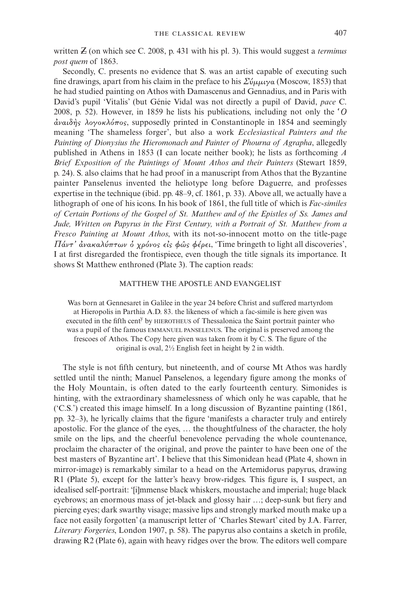written Z (on which see C. 2008, p. 431 with his pl. 3). This would suggest a *terminus post quem* of 1863.

Secondly, C. presents no evidence that S. was an artist capable of executing such fine drawings, apart from his claim in the preface to his  $\sum \psi \mu \mu \nu \alpha$  (Moscow, 1853) that he had studied painting on Athos with Damascenus and Gennadius, and in Paris with David's pupil 'Vitalis' (but Génie Vidal was not directly a pupil of David, *pace* C. 2008, p. 52). However, in 1859 he lists his publications, including not only the  $^{\circ}O$  $\frac{\partial \nu}{\partial \phi}$   $\frac{\partial \gamma}{\partial \phi}$   $\frac{\partial \gamma}{\partial \phi}$ , supposedly printed in Constantinople in 1854 and seemingly meaning 'The shameless forger', but also a work *Ecclesiastical Painters and the Painting of Dionysius the Hieromonach and Painter of Phourna of Agrapha*, allegedly published in Athens in 1853 (I can locate neither book); he lists as forthcoming *A Brief Exposition of the Paintings of Mount Athos and their Painters* (Stewart 1859, p. 24). S. also claims that he had proof in a manuscript from Athos that the Byzantine painter Panselenus invented the heliotype long before Daguerre, and professes expertise in the technique (ibid. pp. 48–9, cf. 1861, p. 33). Above all, we actually have a lithograph of one of his icons. In his book of 1861, the full title of which is *Fac-similes of Certain Portions of the Gospel of St. Matthew and of the Epistles of Ss. James and Jude, Written on Papyrus in the First Century, with a Portrait of St. Matthew from a Fresco Painting at Mount Athos*, with its not-so-innocent motto on the title-page  $\Pi \acute{\alpha} \nu \tau' \grave{\alpha} \nu \alpha \kappa \alpha \lambda \acute{\nu} \pi \tau \omega \nu \acute{\alpha} \gamma \acute{\alpha} \nu \acute{\alpha} \gamma \acute{\alpha} \epsilon \acute{\alpha} \gamma \acute{\alpha} \gamma \acute{\alpha} \epsilon \acute{\alpha} \epsilon \acute{\alpha} \epsilon \acute{\alpha} \epsilon \acute{\alpha} \epsilon \acute{\alpha} \epsilon \acute{\alpha} \epsilon \acute{\alpha} \epsilon \acute{\alpha} \epsilon \acute{\alpha} \epsilon \acute{\alpha} \epsilon \acute{\alpha} \epsilon \acute{\alpha} \epsilon \acute{\alpha} \epsilon \acute{\alpha} \epsilon \acute{\alpha} \epsilon \acute{\alpha} \epsilon \acute{\alpha} \epsilon \acute{\alpha} \epsilon \acute{\alpha$ I at first disregarded the frontispiece, even though the title signals its importance. It shows St Matthew enthroned (Plate 3). The caption reads:

## MATTHEW THE APOSTLE AND EVANGELIST

Was born at Gennesaret in Galilee in the year 24 before Christ and suffered martyrdom at Hieropolis in Parthia A.D. 83. the likeness of which a fac-simile is here given was executed in the fifth cent<sup>y</sup> by HIEROTHEUS of Thessalonica the Saint portrait painter who was a pupil of the famous EMMANUEL PANSELENUS. The original is preserved among the frescoes of Athos. The Copy here given was taken from it by C. S. The figure of the original is oval, 2½ English feet in height by 2 in width.

The style is not fifth century, but nineteenth, and of course Mt Athos was hardly settled until the ninth; Manuel Panselenos, a legendary figure among the monks of the Holy Mountain, is often dated to the early fourteenth century. Simonides is hinting, with the extraordinary shamelessness of which only he was capable, that he ('C.S.') created this image himself. In a long discussion of Byzantine painting (1861, pp. 32–3), he lyrically claims that the figure 'manifests a character truly and entirely apostolic. For the glance of the eyes, … the thoughtfulness of the character, the holy smile on the lips, and the cheerful benevolence pervading the whole countenance, proclaim the character of the original, and prove the painter to have been one of the best masters of Byzantine art'. I believe that this Simonidean head (Plate 4, shown in mirror-image) is remarkably similar to a head on the Artemidorus papyrus, drawing R1 (Plate 5), except for the latter's heavy brow-ridges. This figure is, I suspect, an idealised self-portrait: '[i]mmense black whiskers, moustache and imperial; huge black eyebrows; an enormous mass of jet-black and glossy hair ...; deep-sunk but fiery and piercing eyes; dark swarthy visage; massive lips and strongly marked mouth make up a face not easily forgotten' (a manuscript letter of 'Charles Stewart' cited by J.A. Farrer, *Literary Forgeries*, London 1907, p. 58). The papyrus also contains a sketch in profile, drawing R2 (Plate 6), again with heavy ridges over the brow. The editors well compare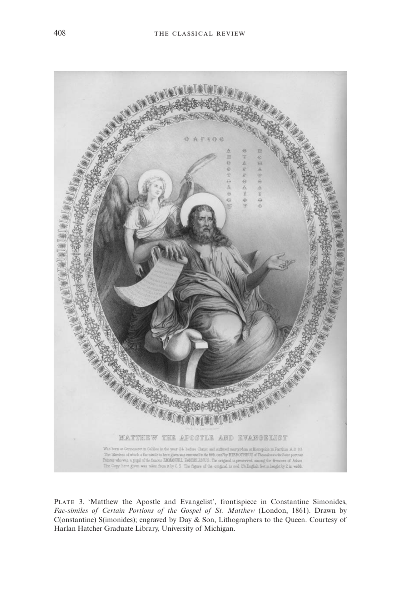

PLATE 3. 'Matthew the Apostle and Evangelist', frontispiece in Constantine Simonides, *Fac-similes of Certain Portions of the Gospel of St. Matthew* (London, 1861). Drawn by C(onstantine) S(imonides); engraved by Day & Son, Lithographers to the Queen. Courtesy of Harlan Hatcher Graduate Library, University of Michigan.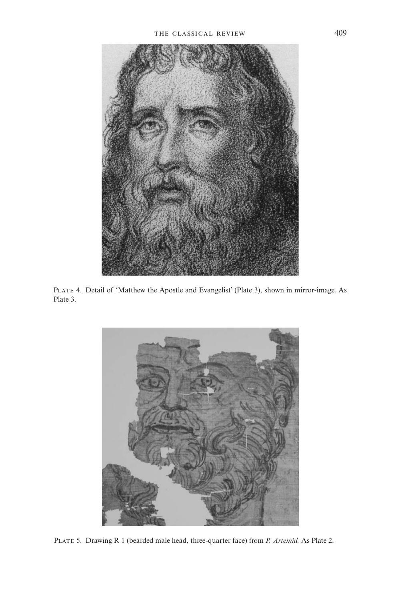

PLATE 4. Detail of 'Matthew the Apostle and Evangelist' (Plate 3), shown in mirror-image. As Plate 3.



Plate 5. Drawing R 1 (bearded male head, three-quarter face) from *P. Artemid.* As Plate 2.